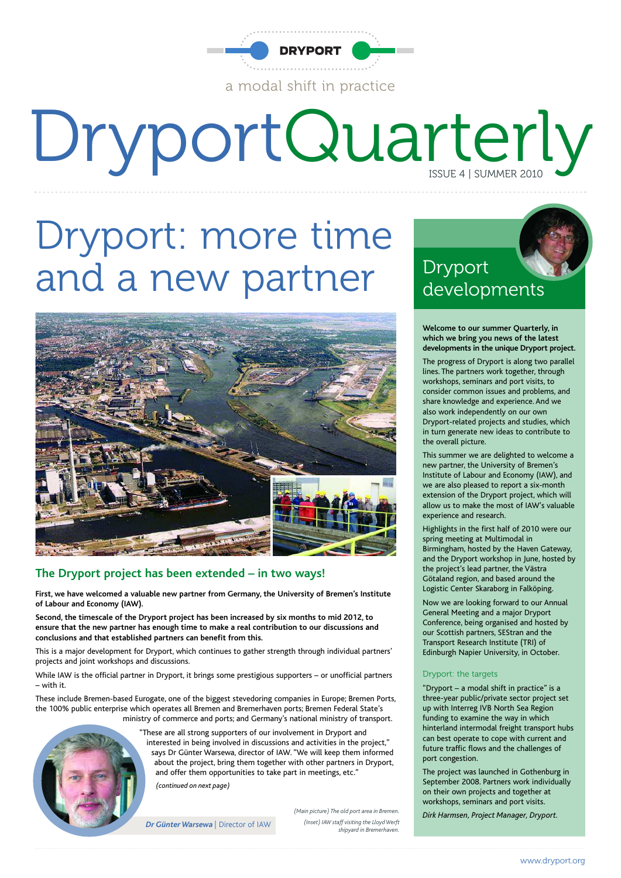

# DryportQuarterly

# Dryport: more time and a new partner



#### **The Dryport project has been extended – in two ways!**

**First, we have welcomed a valuable new partner from Germany, the University of Bremen's Institute of Labour and Economy (IAW).**

**Second, the timescale of the Dryport project has been increased by six months to mid 2012, to ensure that the new partner has enough time to make a real contribution to our discussions and conclusions and that established partners can benefit from this.**

This is a major development for Dryport, which continues to gather strength through individual partners' projects and joint workshops and discussions.

While IAW is the official partner in Dryport, it brings some prestigious supporters – or unofficial partners – with it.

These include Bremen-based Eurogate, one of the biggest stevedoring companies in Europe; Bremen Ports, the 100% public enterprise which operates all Bremen and Bremerhaven ports; Bremen Federal State's ministry of commerce and ports; and Germany's national ministry of transport.



"These are all strong supporters of our involvement in Dryport and interested in being involved in discussions and activities in the project," says Dr Günter Warsewa, director of IAW. "We will keep them informed about the project, bring them together with other partners in Dryport, and offer them opportunities to take part in meetings, etc." *(continued on next page)*

*Dr Günter Warsewa* | Director of IAW

*(Main picture) The old port area in Bremen. (Inset) IAW staff visiting the Lloyd Werft shipyard in Bremerhaven.*

#### Dryport developments

**Welcome to our summer Quarterly, in which we bring you news of the latest developments in the unique Dryport project.**

The progress of Dryport is along two parallel lines. The partners work together, through workshops, seminars and port visits, to consider common issues and problems, and share knowledge and experience. And we also work independently on our own Dryport-related projects and studies, which in turn generate new ideas to contribute to the overall picture.

This summer we are delighted to welcome a new partner, the University of Bremen's Institute of Labour and Economy (IAW), and we are also pleased to report a six-month extension of the Dryport project, which will allow us to make the most of IAW's valuable experience and research.

Highlights in the first half of 2010 were our spring meeting at Multimodal in Birmingham, hosted by the Haven Gateway, and the Dryport workshop in June, hosted by the project's lead partner, the Västra Götaland region, and based around the Logistic Center Skaraborg in Falköping.

Now we are looking forward to our Annual General Meeting and a major Dryport Conference, being organised and hosted by our Scottish partners, SEStran and the Transport Research Institute (TRI) of Edinburgh Napier University, in October.

#### Dryport: the targets

"Dryport – a modal shift in practice" is a three-year public/private sector project set up with Interreg IVB North Sea Region funding to examine the way in which hinterland intermodal freight transport hubs can best operate to cope with current and future traffic flows and the challenges of port congestion.

The project was launched in Gothenburg in September 2008. Partners work individually on their own projects and together at workshops, seminars and port visits.

*Dirk Harmsen, Project Manager, Dryport.*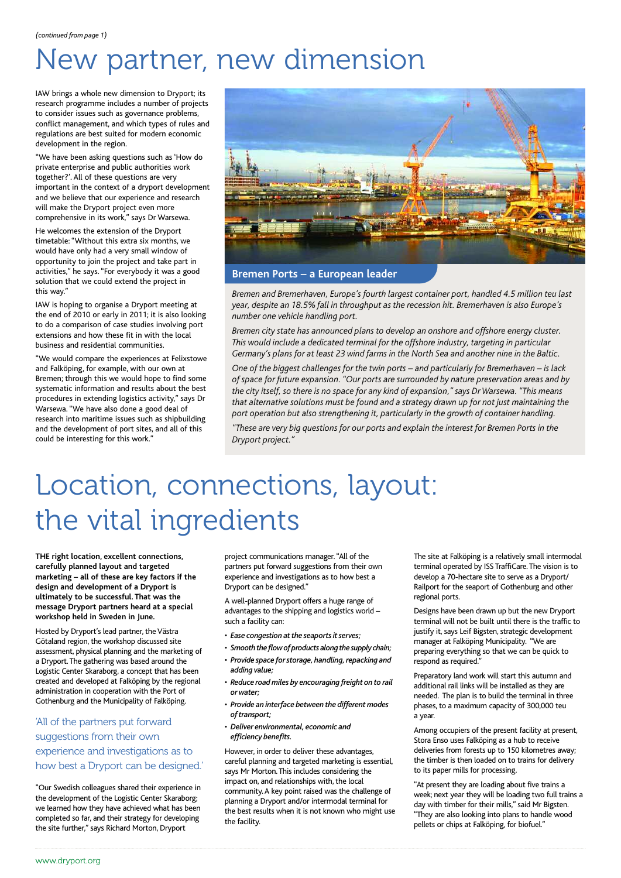# New partner, new dimension

IAW brings a whole new dimension to Dryport; its research programme includes a number of projects to consider issues such as governance problems, conflict management, and which types of rules and regulations are best suited for modern economic development in the region.

"We have been asking questions such as 'How do private enterprise and public authorities work together?'. All of these questions are very important in the context of a dryport development and we believe that our experience and research will make the Dryport project even more comprehensive in its work," says Dr Warsewa.

He welcomes the extension of the Dryport timetable: "Without this extra six months, we would have only had a very small window of opportunity to join the project and take part in activities," he says. "For everybody it was a good solution that we could extend the project in this way."

IAW is hoping to organise a Dryport meeting at the end of 2010 or early in 2011; it is also looking to do a comparison of case studies involving port extensions and how these fit in with the local business and residential communities.

"We would compare the experiences at Felixstowe and Falköping, for example, with our own at Bremen; through this we would hope to find some systematic information and results about the best procedures in extending logistics activity," says Dr Warsewa. "We have also done a good deal of research into maritime issues such as shipbuilding and the development of port sites, and all of this could be interesting for this work."



**Bremen Ports – a European leader**

*Bremen and Bremerhaven, Europe's fourth largest container port, handled 4.5 million teu last year, despite an 18.5% fall in throughput as the recession hit. Bremerhaven is also Europe's number one vehicle handling port.*

*Bremen city state has announced plans to develop an onshore and offshore energy cluster. This would include a dedicated terminal for the offshore industry, targeting in particular Germany's plans for at least 23 wind farms in the North Sea and another nine in the Baltic.*

*One of the biggest challenges for the twin ports – and particularly for Bremerhaven – is lack of space for future expansion. "Our ports are surrounded by nature preservation areas and by the city itself, so there is no space for any kind of expansion," says Dr Warsewa. "This means that alternative solutions must be found and a strategy drawn up for not just maintaining the port operation but also strengthening it, particularly in the growth of container handling.*

*"These are very big questions for our ports and explain the interest for Bremen Ports in the Dryport project."*

## Location, connections, layout: the vital ingredients

**THE right location, excellent connections, carefully planned layout and targeted marketing – all of these are key factors if the design and development of a Dryport is ultimately to be successful. That was the message Dryport partners heard at a special workshop held in Sweden in June.**

Hosted by Dryport's lead partner, the Västra Götaland region, the workshop discussed site assessment, physical planning and the marketing of a Dryport.The gathering was based around the Logistic Center Skaraborg, a concept that has been created and developed at Falköping by the regional administration in cooperation with the Port of Gothenburg and the Municipality of Falköping.

#### 'All of the partners put forward suggestions from their own experience and investigations as to how best a Dryport can be designed.'

"Our Swedish colleagues shared their experience in the development of the Logistic Center Skaraborg; we learned how they have achieved what has been completed so far, and their strategy for developing the site further," says Richard Morton, Dryport

project communications manager. "All of the partners put forward suggestions from their own experience and investigations as to how best a Dryport can be designed."

A well-planned Dryport offers a huge range of advantages to the shipping and logistics world – such a facility can:

- *Ease congestion at the seaports it serves;*
- *Smooth the flow of products along the supply chain;*
- *Provide space for storage, handling, repacking and adding value;*
- *• Reduce road miles by encouraging freight on to rail or water;*
- *Provide an interface between the different modes of transport;*
- *• Deliver environmental, economic and efficiency benefits.*

However, in order to deliver these advantages, careful planning and targeted marketing is essential, says Mr Morton.This includes considering the impact on, and relationships with, the local community.A key point raised was the challenge of planning a Dryport and/or intermodal terminal for the best results when it is not known who might use the facility.

The site at Falköping is a relatively small intermodal terminal operated by ISS TraffiCare.The vision is to develop a 70-hectare site to serve as a Dryport/ Railport for the seaport of Gothenburg and other regional ports.

Designs have been drawn up but the new Dryport terminal will not be built until there is the traffic to justify it, says Leif Bigsten, strategic development manager at Falköping Municipality. "We are preparing everything so that we can be quick to respond as required."

Preparatory land work will start this autumn and additional rail links will be installed as they are needed. The plan is to build the terminal in three phases, to a maximum capacity of 300,000 teu a year.

Among occupiers of the present facility at present, Stora Enso uses Falköping as a hub to receive deliveries from forests up to 150 kilometres away; the timber is then loaded on to trains for delivery to its paper mills for processing.

"At present they are loading about five trains a week; next year they will be loading two full trains a day with timber for their mills," said Mr Bigsten. "They are also looking into plans to handle wood pellets or chips at Falköping, for biofuel."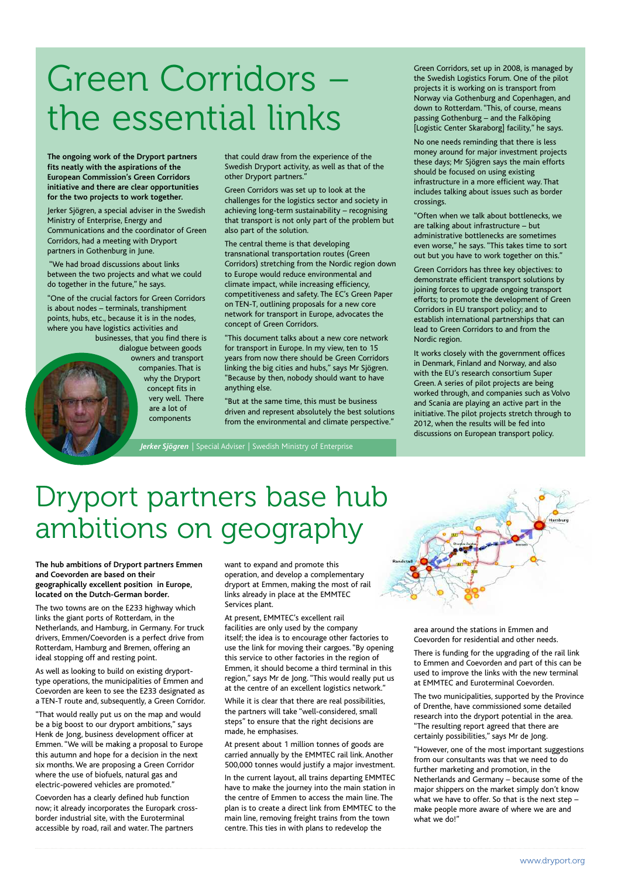# Green Corridors – the essential links

**The ongoing work of the Dryport partners fits neatly with the aspirations of the European Commission's Green Corridors initiative and there are clear opportunities for the two projects to work together.**

Jerker Sjögren, a special adviser in the Swedish Ministry of Enterprise, Energy and Communications and the coordinator of Green Corridors, had a meeting with Dryport partners in Gothenburg in June.

"We had broad discussions about links between the two projects and what we could do together in the future," he says.

"One of the crucial factors for Green Corridors is about nodes – terminals, transhipment points, hubs, etc., because it is in the nodes, where you have logistics activities and

businesses, that you find there is dialogue between goods owners and transport companies. That is why the Dryport concept fits in very well. There are a lot of components

that could draw from the experience of the Swedish Dryport activity, as well as that of the other Dryport partners."

Green Corridors was set up to look at the challenges for the logistics sector and society in achieving long-term sustainability – recognising that transport is not only part of the problem but also part of the solution.

The central theme is that developing transnational transportation routes (Green Corridors) stretching from the Nordic region down to Europe would reduce environmental and climate impact, while increasing efficiency, competitiveness and safety. The EC's Green Paper on TEN-T, outlining proposals for a new core network for transport in Europe, advocates the concept of Green Corridors.

"This document talks about a new core network for transport in Europe. In my view, ten to 15 years from now there should be Green Corridors linking the big cities and hubs," says Mr Sjögren. "Because by then, nobody should want to have anything else.

"But at the same time, this must be business driven and represent absolutely the best solutions from the environmental and climate perspective."

*Jerker Sjögren* | Special Adviser | Swedish Ministry of Enterprise

Green Corridors, set up in 2008, is managed by the Swedish Logistics Forum. One of the pilot projects it is working on is transport from Norway via Gothenburg and Copenhagen, and down to Rotterdam. "This, of course, means passing Gothenburg – and the Falköping [Logistic Center Skaraborg] facility," he says.

No one needs reminding that there is less money around for major investment projects these days; Mr Sjögren says the main efforts should be focused on using existing infrastructure in a more efficient way. That includes talking about issues such as border crossings.

"Often when we talk about bottlenecks, we are talking about infrastructure – but administrative bottlenecks are sometimes even worse," he says. "This takes time to sort out but you have to work together on this."

Green Corridors has three key objectives: to demonstrate efficient transport solutions by joining forces to upgrade ongoing transport efforts; to promote the development of Green Corridors in EU transport policy; and to establish international partnerships that can lead to Green Corridors to and from the Nordic region.

It works closely with the government offices in Denmark, Finland and Norway, and also with the EU's research consortium Super Green. A series of pilot projects are being worked through, and companies such as Volvo and Scania are playing an active part in the initiative. The pilot projects stretch through to 2012, when the results will be fed into discussions on European transport policy.

## Dryport partners base hub ambitions on geography

**The hub ambitions of Dryport partners Emmen and Coevorden are based on their geographically excellent position in Europe, located on the Dutch-German border.**

The two towns are on the E233 highway which links the giant ports of Rotterdam, in the Netherlands, and Hamburg, in Germany. For truck drivers, Emmen/Coevorden is a perfect drive from Rotterdam, Hamburg and Bremen, offering an ideal stopping off and resting point.

As well as looking to build on existing dryporttype operations, the municipalities of Emmen and Coevorden are keen to see the E233 designated as a TEN-T route and, subsequently, a Green Corridor.

"That would really put us on the map and would be a big boost to our dryport ambitions," says Henk de Jong, business development officer at Emmen."We will be making a proposal to Europe this autumn and hope for a decision in the next six months. We are proposing a Green Corridor where the use of biofuels, natural gas and electric-powered vehicles are promoted."

Coevorden has a clearly defined hub function now; it already incorporates the Europark crossborder industrial site, with the Euroterminal accessible by road, rail and water. The partners

want to expand and promote this operation, and develop a complementary dryport at Emmen, making the most of rail links already in place at the EMMTEC Services plant.

At present, EMMTEC's excellent rail facilities are only used by the company itself; the idea is to encourage other factories to use the link for moving their cargoes. "By opening this service to other factories in the region of Emmen, it should become a third terminal in this region," says Mr de Jong. "This would really put us at the centre of an excellent logistics network."

While it is clear that there are real possibilities, the partners will take "well-considered, small steps" to ensure that the right decisions are made, he emphasises.

At present about 1 million tonnes of goods are carried annually by the EMMTEC rail link. Another 500,000 tonnes would justify a major investment.

In the current layout, all trains departing EMMTEC have to make the journey into the main station in the centre of Emmen to access the main line. The plan is to create a direct link from EMMTEC to the main line, removing freight trains from the town centre. This ties in with plans to redevelop the

area around the stations in Emmen and Coevorden for residential and other needs.

There is funding for the upgrading of the rail link to Emmen and Coevorden and part of this can be used to improve the links with the new terminal at EMMTEC and Euroterminal Coevorden.

The two municipalities, supported by the Province of Drenthe, have commissioned some detailed research into the dryport potential in the area. "The resulting report agreed that there are certainly possibilities," says Mr de Jong.

"However, one of the most important suggestions from our consultants was that we need to do further marketing and promotion, in the Netherlands and Germany – because some of the major shippers on the market simply don't know what we have to offer. So that is the next step – make people more aware of where we are and what we do!"